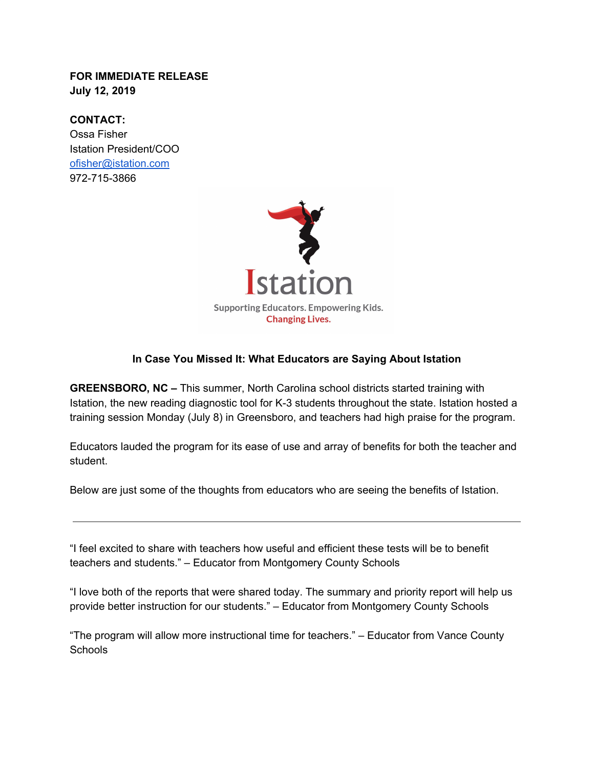## **FOR IMMEDIATE RELEASE July 12, 2019**

**CONTACT:** Ossa Fisher Istation President/COO [ofisher@istation.com](mailto:ofisher@istation.com) 972-715-3866



## **In Case You Missed It: What Educators are Saying About Istation**

**GREENSBORO, NC –** This summer, North Carolina school districts started training with Istation, the new reading diagnostic tool for K-3 students throughout the state. Istation hosted a training session Monday (July 8) in Greensboro, and teachers had high praise for the program.

Educators lauded the program for its ease of use and array of benefits for both the teacher and student.

Below are just some of the thoughts from educators who are seeing the benefits of Istation.

"I feel excited to share with teachers how useful and efficient these tests will be to benefit teachers and students." – Educator from Montgomery County Schools

"I love both of the reports that were shared today. The summary and priority report will help us provide better instruction for our students." – Educator from Montgomery County Schools

"The program will allow more instructional time for teachers." – Educator from Vance County **Schools**